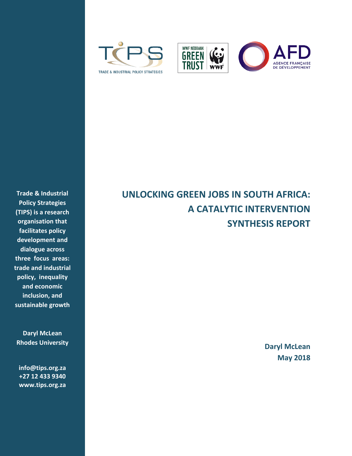





**Trade & Industrial Policy Strategies (TIPS) is a research organisation that facilitates policy development and dialogue across three focus areas: trade and industrial policy, inequality and economic inclusion, and sustainable growth**

**Daryl McLean Rhodes University**

**[info@tips.org.za](mailto:info@tips.org.za) +27 12 433 9340 [www.tips.org.za](file:///E:/TIPS%20WWF/Phase%20Two%20Job/www.tips.org.za)**

# **UNLOCKING GREEN JOBS IN SOUTH AFRICA: A CATALYTIC INTERVENTION SYNTHESIS REPORT**

**Daryl McLean May 2018**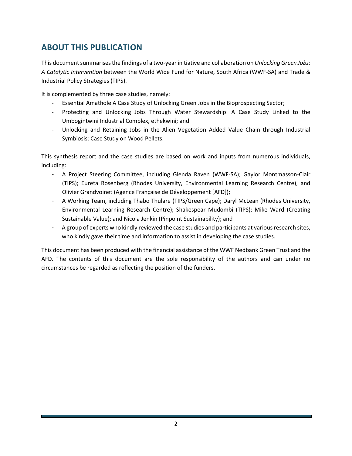# <span id="page-1-0"></span>**ABOUT THIS PUBLICATION**

This document summarises the findings of a two-year initiative and collaboration on *Unlocking Green Jobs: A Catalytic Intervention* between the World Wide Fund for Nature, South Africa (WWF-SA) and Trade & Industrial Policy Strategies (TIPS).

It is complemented by three case studies, namely:

- Essential Amathole A Case Study of Unlocking Green Jobs in the Bioprospecting Sector;
- Protecting and Unlocking Jobs Through Water Stewardship: A Case Study Linked to the Umbogintwini Industrial Complex, ethekwini; and
- Unlocking and Retaining Jobs in the Alien Vegetation Added Value Chain through Industrial Symbiosis: Case Study on Wood Pellets.

This synthesis report and the case studies are based on work and inputs from numerous individuals, including:

- A Project Steering Committee, including Glenda Raven (WWF-SA); Gaylor Montmasson-Clair (TIPS); Eureta Rosenberg (Rhodes University, Environmental Learning Research Centre), and Olivier Grandvoinet (Agence Française de Développement [AFD]);
- A Working Team, including Thabo Thulare (TIPS/Green Cape); Daryl McLean (Rhodes University, Environmental Learning Research Centre); Shakespear Mudombi (TIPS); Mike Ward (Creating Sustainable Value); and Nicola Jenkin (Pinpoint Sustainability); and
- A group of experts who kindly reviewed the case studies and participants at various research sites, who kindly gave their time and information to assist in developing the case studies.

This document has been produced with the financial assistance of the WWF Nedbank Green Trust and the AFD. The contents of this document are the sole responsibility of the authors and can under no circumstances be regarded as reflecting the position of the funders.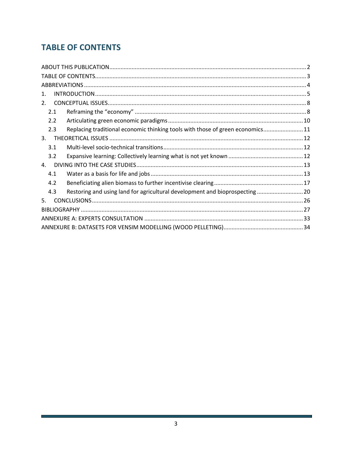# <span id="page-2-0"></span>**TABLE OF CONTENTS**

| $\mathbf{1}$ .<br>2 <sup>1</sup><br>2.1<br>2.2<br>Replacing traditional economic thinking tools with those of green economics11<br>2.3<br>3.<br>3.1<br>3.2<br>4.<br>4.1<br>4.2<br>Restoring and using land for agricultural development and bioprospecting  20<br>4.3<br>5. |  |
|-----------------------------------------------------------------------------------------------------------------------------------------------------------------------------------------------------------------------------------------------------------------------------|--|
|                                                                                                                                                                                                                                                                             |  |
|                                                                                                                                                                                                                                                                             |  |
|                                                                                                                                                                                                                                                                             |  |
|                                                                                                                                                                                                                                                                             |  |
|                                                                                                                                                                                                                                                                             |  |
|                                                                                                                                                                                                                                                                             |  |
|                                                                                                                                                                                                                                                                             |  |
|                                                                                                                                                                                                                                                                             |  |
|                                                                                                                                                                                                                                                                             |  |
|                                                                                                                                                                                                                                                                             |  |
|                                                                                                                                                                                                                                                                             |  |
|                                                                                                                                                                                                                                                                             |  |
|                                                                                                                                                                                                                                                                             |  |
|                                                                                                                                                                                                                                                                             |  |
|                                                                                                                                                                                                                                                                             |  |
|                                                                                                                                                                                                                                                                             |  |
|                                                                                                                                                                                                                                                                             |  |
|                                                                                                                                                                                                                                                                             |  |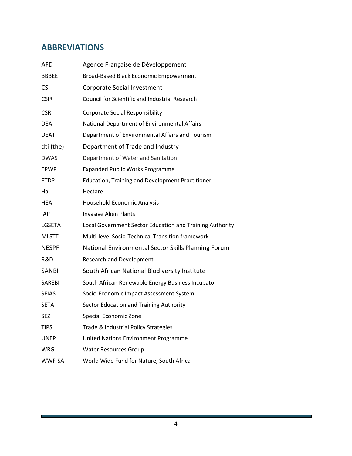# **ABBREVIATIONS**

| AFD           | Agence Française de Développement                        |
|---------------|----------------------------------------------------------|
| <b>BBBEE</b>  | Broad-Based Black Economic Empowerment                   |
| <b>CSI</b>    | Corporate Social Investment                              |
| <b>CSIR</b>   | <b>Council for Scientific and Industrial Research</b>    |
| <b>CSR</b>    | <b>Corporate Social Responsibility</b>                   |
| <b>DEA</b>    | National Department of Environmental Affairs             |
| <b>DEAT</b>   | Department of Environmental Affairs and Tourism          |
| dti (the)     | Department of Trade and Industry                         |
| <b>DWAS</b>   | Department of Water and Sanitation                       |
| <b>EPWP</b>   | <b>Expanded Public Works Programme</b>                   |
| <b>ETDP</b>   | <b>Education, Training and Development Practitioner</b>  |
| Ha            | Hectare                                                  |
| <b>HEA</b>    | Household Economic Analysis                              |
| IAP           | <b>Invasive Alien Plants</b>                             |
| LGSETA        | Local Government Sector Education and Training Authority |
| <b>MLSTT</b>  | Multi-level Socio-Technical Transition framework         |
| <b>NESPF</b>  | National Environmental Sector Skills Planning Forum      |
| R&D           | <b>Research and Development</b>                          |
| <b>SANBI</b>  | South African National Biodiversity Institute            |
| <b>SAREBI</b> | South African Renewable Energy Business Incubator        |
| <b>SEIAS</b>  | Socio-Economic Impact Assessment System                  |
| <b>SETA</b>   | Sector Education and Training Authority                  |
| <b>SEZ</b>    | <b>Special Economic Zone</b>                             |
| TIPS          | Trade & Industrial Policy Strategies                     |
| <b>UNEP</b>   | <b>United Nations Environment Programme</b>              |
| WRG           | <b>Water Resources Group</b>                             |
| WWF-SA        | World Wide Fund for Nature, South Africa                 |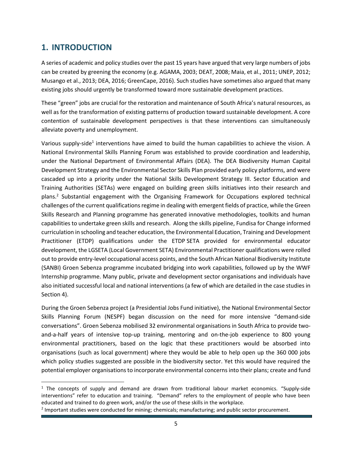# <span id="page-4-0"></span>**1. INTRODUCTION**

 $\overline{a}$ 

A series of academic and policy studies over the past 15 years have argued that very large numbers of jobs can be created by greening the economy (e.g. AGAMA, 2003; DEAT, 2008; Maia, et al., 2011; UNEP, 2012; Musango et al., 2013; DEA, 2016; GreenCape, 2016). Such studies have sometimes also argued that many existing jobs should urgently be transformed toward more sustainable development practices.

These "green" jobs are crucial for the restoration and maintenance of South Africa's natural resources, as well as for the transformation of existing patterns of production toward sustainable development. A core contention of sustainable development perspectives is that these interventions can simultaneously alleviate poverty and unemployment.

Various supply-side<sup>1</sup> interventions have aimed to build the human capabilities to achieve the vision. A National Environmental Skills Planning Forum was established to provide coordination and leadership, under the National Department of Environmental Affairs (DEA). The DEA Biodiversity Human Capital Development Strategy and the Environmental Sector Skills Plan provided early policy platforms, and were cascaded up into a priority under the National Skills Development Strategy III. Sector Education and Training Authorities (SETAs) were engaged on building green skills initiatives into their research and plans.<sup>2</sup> Substantial engagement with the Organising Framework for Occupations explored technical challenges of the current qualifications regime in dealing with emergent fields of practice, while the Green Skills Research and Planning programme has generated innovative methodologies, toolkits and human capabilities to undertake green skills and research. Along the skills pipeline, Fundisa for Change informed curriculation in schooling and teacher education, the Environmental Education, Training and Development Practitioner (ETDP) qualifications under the ETDP SETA provided for environmental educator development, the LGSETA (Local Government SETA) Environmental Practitioner qualifications were rolled out to provide entry-level occupational access points, and the South African National Biodiversity Institute (SANBI) Groen Sebenza programme incubated bridging into work capabilities, followed up by the WWF Internship programme. Many public, private and development sector organisations and individuals have also initiated successful local and national interventions (a few of which are detailed in the case studies in Section 4).

During the Groen Sebenza project (a Presidential Jobs Fund initiative), the National Environmental Sector Skills Planning Forum (NESPF) began discussion on the need for more intensive "demand-side conversations". Groen Sebenza mobilised 32 environmental organisations in South Africa to provide twoand-a-half years of intensive top-up training, mentoring and on-the-job experience to 800 young environmental practitioners, based on the logic that these practitioners would be absorbed into organisations (such as local government) where they would be able to help open up the 360 000 jobs which policy studies suggested are possible in the biodiversity sector. Yet this would have required the potential employer organisations to incorporate environmental concerns into their plans; create and fund

<sup>&</sup>lt;sup>1</sup> The concepts of supply and demand are drawn from traditional labour market economics. "Supply-side interventions" refer to education and training. "Demand" refers to the employment of people who have been educated and trained to do green work, and/or the use of these skills in the workplace.

<sup>&</sup>lt;sup>2</sup> Important studies were conducted for mining; chemicals; manufacturing; and public sector procurement.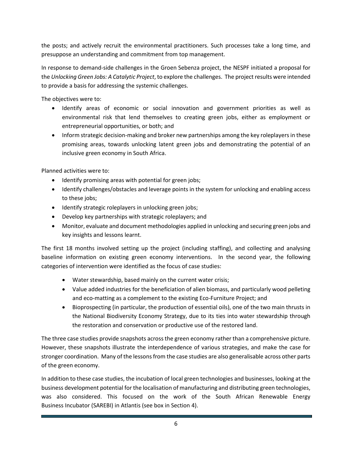the posts; and actively recruit the environmental practitioners. Such processes take a long time, and presuppose an understanding and commitment from top management.

In response to demand-side challenges in the Groen Sebenza project, the NESPF initiated a proposal for the *Unlocking Green Jobs: A Catalytic Project*, to explore the challenges. The project results were intended to provide a basis for addressing the systemic challenges.

The objectives were to:

- Identify areas of economic or social innovation and government priorities as well as environmental risk that lend themselves to creating green jobs, either as employment or entrepreneurial opportunities, or both; and
- Inform strategic decision-making and broker new partnerships among the key roleplayers in these promising areas, towards unlocking latent green jobs and demonstrating the potential of an inclusive green economy in South Africa.

Planned activities were to:

- Identify promising areas with potential for green jobs;
- Identify challenges/obstacles and leverage points in the system for unlocking and enabling access to these jobs;
- Identify strategic roleplayers in unlocking green jobs;
- Develop key partnerships with strategic roleplayers; and
- Monitor, evaluate and document methodologies applied in unlocking and securing green jobs and key insights and lessons learnt.

The first 18 months involved setting up the project (including staffing), and collecting and analysing baseline information on existing green economy interventions. In the second year, the following categories of intervention were identified as the focus of case studies:

- Water stewardship, based mainly on the current water crisis;
- Value added industries for the beneficiation of alien biomass, and particularly wood pelleting and eco-matting as a complement to the existing Eco-Furniture Project; and
- Bioprospecting (in particular, the production of essential oils), one of the two main thrusts in the National Biodiversity Economy Strategy, due to its ties into water stewardship through the restoration and conservation or productive use of the restored land.

The three case studies provide snapshots across the green economy rather than a comprehensive picture. However, these snapshots illustrate the interdependence of various strategies, and make the case for stronger coordination. Many of the lessons from the case studies are also generalisable across other parts of the green economy.

In addition to these case studies, the incubation of local green technologies and businesses, looking at the business development potential for the localisation of manufacturing and distributing green technologies, was also considered. This focused on the work of the South African Renewable Energy Business Incubator (SAREBI) in Atlantis (see box in Section 4).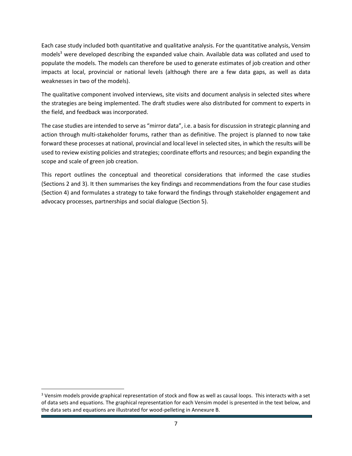Each case study included both quantitative and qualitative analysis. For the quantitative analysis, Vensim models<sup>3</sup> were developed describing the expanded value chain. Available data was collated and used to populate the models. The models can therefore be used to generate estimates of job creation and other impacts at local, provincial or national levels (although there are a few data gaps, as well as data weaknesses in two of the models).

The qualitative component involved interviews, site visits and document analysis in selected sites where the strategies are being implemented. The draft studies were also distributed for comment to experts in the field, and feedback was incorporated.

The case studies are intended to serve as "mirror data", i.e. a basis for discussion in strategic planning and action through multi-stakeholder forums, rather than as definitive. The project is planned to now take forward these processes at national, provincial and local level in selected sites, in which the results will be used to review existing policies and strategies; coordinate efforts and resources; and begin expanding the scope and scale of green job creation.

This report outlines the conceptual and theoretical considerations that informed the case studies (Sections 2 and 3). It then summarises the key findings and recommendations from the four case studies (Section 4) and formulates a strategy to take forward the findings through stakeholder engagement and advocacy processes, partnerships and social dialogue (Section 5).

 $\overline{a}$ 

<sup>&</sup>lt;sup>3</sup> Vensim models provide graphical representation of stock and flow as well as causal loops. This interacts with a set of data sets and equations. The graphical representation for each Vensim model is presented in the text below, and the data sets and equations are illustrated for wood-pelleting in Annexure B.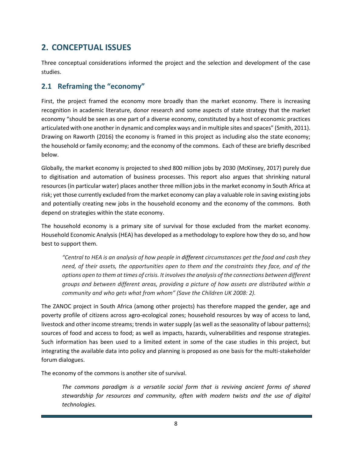# <span id="page-7-0"></span>**2. CONCEPTUAL ISSUES**

Three conceptual considerations informed the project and the selection and development of the case studies.

### <span id="page-7-1"></span>**2.1 Reframing the "economy"**

First, the project framed the economy more broadly than the market economy. There is increasing recognition in academic literature, donor research and some aspects of state strategy that the market economy "should be seen as one part of a diverse economy, constituted by a host of economic practices articulated with one another in dynamic and complex ways and in multiple sites and spaces" (Smith, 2011). Drawing on Raworth (2016) the economy is framed in this project as including also the state economy; the household or family economy; and the economy of the commons. Each of these are briefly described below.

Globally, the market economy is projected to shed 800 million jobs by 2030 (McKinsey, 2017) purely due to digitisation and automation of business processes. This report also argues that shrinking natural resources (in particular water) places another three million jobs in the market economy in South Africa at risk; yet those currently excluded from the market economy can play a valuable role in saving existing jobs and potentially creating new jobs in the household economy and the economy of the commons. Both depend on strategies within the state economy.

The household economy is a primary site of survival for those excluded from the market economy. Household Economic Analysis (HEA) has developed as a methodology to explore how they do so, and how best to support them.

*"Central to HEA is an analysis of how people in different circumstances get the food and cash they need, of their assets, the opportunities open to them and the constraints they face, and of the options open to them at times of crisis. It involves the analysis of the connections between different groups and between different areas, providing a picture of how assets are distributed within a community and who gets what from whom" (Save the Children UK 2008: 2).* 

The ZANOC project in South Africa (among other projects) has therefore mapped the gender, age and poverty profile of citizens across agro-ecological zones; household resources by way of access to land, livestock and other income streams; trends in water supply (as well as the seasonality of labour patterns); sources of food and access to food; as well as impacts, hazards, vulnerabilities and response strategies. Such information has been used to a limited extent in some of the case studies in this project, but integrating the available data into policy and planning is proposed as one basis for the multi-stakeholder forum dialogues.

The economy of the commons is another site of survival.

*The commons paradigm is a versatile social form that is reviving ancient forms of shared stewardship for resources and community, often with modern twists and the use of digital technologies.*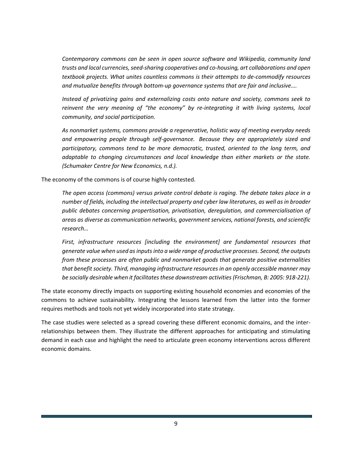*Contemporary commons can be seen in open source software and Wikipedia, community land trusts and local currencies, seed-sharing cooperatives and co-housing, art collaborations and open textbook projects. What unites countless commons is their attempts to de-commodify resources and mutualize benefits through bottom-up governance systems that are fair and inclusive….*

*Instead of privatizing gains and externalizing costs onto nature and society, commons seek to reinvent the very meaning of "the economy" by re-integrating it with living systems, local community, and social participation.*

*As nonmarket systems, commons provide a regenerative, holistic way of meeting everyday needs and empowering people through self-governance. Because they are appropriately sized and participatory, commons tend to be more democratic, trusted, oriented to the long term, and adaptable to changing circumstances and local knowledge than either markets or the state. (Schumaker Centre for New Economics, n.d.).* 

The economy of the commons is of course highly contested.

*The open access (commons) versus private control debate is raging. The debate takes place in a number of fields, including the intellectual property and cyber law literatures, as well as in broader public debates concerning propertisation, privatisation, deregulation, and commercialisation of areas as diverse as communication networks, government services, national forests, and scientific research…*

*First, infrastructure resources [including the environment] are fundamental resources that generate value when used as inputs into a wide range of productive processes. Second, the outputs from these processes are often public and nonmarket goods that generate positive externalities that benefit society. Third, managing infrastructure resources in an openly accessible manner may be socially desirable when it facilitates these downstream activities (Frischman, B: 2005: 918-221).* 

The state economy directly impacts on supporting existing household economies and economies of the commons to achieve sustainability. Integrating the lessons learned from the latter into the former requires methods and tools not yet widely incorporated into state strategy.

The case studies were selected as a spread covering these different economic domains, and the interrelationships between them. They illustrate the different approaches for anticipating and stimulating demand in each case and highlight the need to articulate green economy interventions across different economic domains.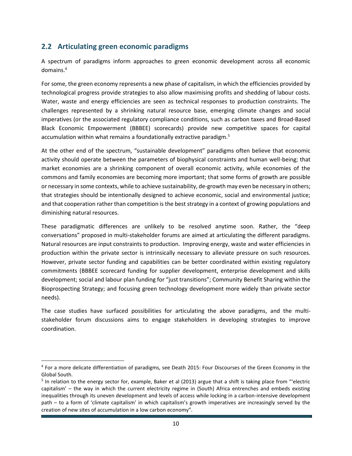### <span id="page-9-0"></span>**2.2 Articulating green economic paradigms**

 $\overline{a}$ 

A spectrum of paradigms inform approaches to green economic development across all economic domains.<sup>4</sup>

For some, the green economy represents a new phase of capitalism, in which the efficiencies provided by technological progress provide strategies to also allow maximising profits and shedding of labour costs. Water, waste and energy efficiencies are seen as technical responses to production constraints. The challenges represented by a shrinking natural resource base, emerging climate changes and social imperatives (or the associated regulatory compliance conditions, such as carbon taxes and Broad-Based Black Economic Empowerment (BBBEE) scorecards) provide new competitive spaces for capital accumulation within what remains a foundationally extractive paradigm.<sup>5</sup>

At the other end of the spectrum, "sustainable development" paradigms often believe that economic activity should operate between the parameters of biophysical constraints and human well-being; that market economies are a shrinking component of overall economic activity, while economies of the commons and family economies are becoming more important; that some forms of growth are possible or necessary in some contexts, while to achieve sustainability, de-growth may even be necessary in others; that strategies should be intentionally designed to achieve economic, social and environmental justice; and that cooperation rather than competition is the best strategy in a context of growing populations and diminishing natural resources.

These paradigmatic differences are unlikely to be resolved anytime soon. Rather, the "deep conversations" proposed in multi-stakeholder forums are aimed at articulating the different paradigms. Natural resources are input constraints to production. Improving energy, waste and water efficiencies in production within the private sector is intrinsically necessary to alleviate pressure on such resources. However, private sector funding and capabilities can be better coordinated within existing regulatory commitments (BBBEE scorecard funding for supplier development, enterprise development and skills development; social and labour plan funding for "just transitions"; Community Benefit Sharing within the Bioprospecting Strategy; and focusing green technology development more widely than private sector needs).

The case studies have surfaced possibilities for articulating the above paradigms, and the multistakeholder forum discussions aims to engage stakeholders in developing strategies to improve coordination.

<sup>&</sup>lt;sup>4</sup> For a more delicate differentiation of paradigms, see Death 2015: Four Discourses of the Green Economy in the Global South.

<sup>&</sup>lt;sup>5</sup> In relation to the energy sector for, example, Baker et al (2013) argue that a shift is taking place from "'electric capitalism' – the way in which the current electricity regime in (South) Africa entrenches and embeds existing inequalities through its uneven development and levels of access while locking in a carbon-intensive development path – to a form of 'climate capitalism' in which capitalism's growth imperatives are increasingly served by the creation of new sites of accumulation in a low carbon economy".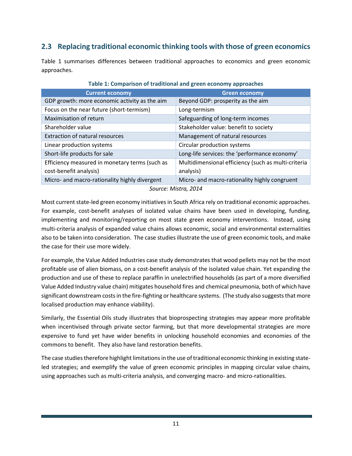### <span id="page-10-0"></span>**2.3 Replacing traditional economic thinking tools with those of green economics**

Table 1 summarises differences between traditional approaches to economics and green economic approaches.

| <b>Current economy</b>                         | <b>Green economy</b>                                |
|------------------------------------------------|-----------------------------------------------------|
| GDP growth: more economic activity as the aim  | Beyond GDP: prosperity as the aim                   |
| Focus on the near future (short-termism)       | Long-termism                                        |
| Maximisation of return                         | Safeguarding of long-term incomes                   |
| Shareholder value                              | Stakeholder value: benefit to society               |
| <b>Extraction of natural resources</b>         | Management of natural resources                     |
| Linear production systems                      | Circular production systems                         |
| Short-life products for sale                   | Long-life services: the 'performance economy'       |
| Efficiency measured in monetary terms (such as | Multidimensional efficiency (such as multi-criteria |
| cost-benefit analysis)                         | analysis)                                           |
| Micro- and macro-rationality highly divergent  | Micro- and macro-rationality highly congruent       |
|                                                | $C_{\text{Alirco}}$ , Mictro $2011$                 |

#### **Table 1: Comparison of traditional and green economy approaches**

*Source: Mistra, 2014*

Most current state-led green economy initiatives in South Africa rely on traditional economic approaches. For example, cost-benefit analyses of isolated value chains have been used in developing, funding, implementing and monitoring/reporting on most state green economy interventions. Instead, using multi-criteria analysis of expanded value chains allows economic, social and environmental externalities also to be taken into consideration. The case studies illustrate the use of green economic tools, and make the case for their use more widely.

For example, the Value Added Industries case study demonstrates that wood pellets may not be the most profitable use of alien biomass, on a cost-benefit analysis of the isolated value chain. Yet expanding the production and use of these to replace paraffin in unelectrified households (as part of a more diversified Value Added Industry value chain) mitigates household fires and chemical pneumonia, both of which have significant downstream costs in the fire-fighting or healthcare systems. (The study also suggests that more localised production may enhance viability).

Similarly, the Essential Oils study illustrates that bioprospecting strategies may appear more profitable when incentivised through private sector farming, but that more developmental strategies are more expensive to fund yet have wider benefits in unlocking household economies and economies of the commons to benefit. They also have land restoration benefits.

The case studies therefore highlight limitations in the use of traditional economic thinking in existing stateled strategies; and exemplify the value of green economic principles in mapping circular value chains, using approaches such as multi-criteria analysis, and converging macro- and micro-rationalities.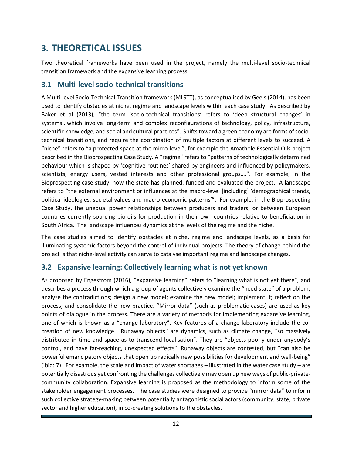# <span id="page-11-0"></span>**3. THEORETICAL ISSUES**

Two theoretical frameworks have been used in the project, namely the multi-level socio-technical transition framework and the expansive learning process.

#### <span id="page-11-1"></span>**3.1 Multi-level socio-technical transitions**

A Multi-level Socio-Technical Transition framework (MLSTT), as conceptualised by Geels (2014), has been used to identify obstacles at niche, regime and landscape levels within each case study. As described by Baker et al (2013), "the term 'socio-technical transitions' refers to 'deep structural changes' in systems...which involve long-term and complex reconfigurations of technology, policy, infrastructure, scientific knowledge, and social and cultural practices". Shifts toward a green economy are forms of sociotechnical transitions, and require the coordination of multiple factors at different levels to succeed. A "niche" refers to "a protected space at the micro-level", for example the Amathole Essential Oils project described in the Bioprospecting Case Study. A "regime" refers to "patterns of technologically determined behaviour which is shaped by 'cognitive routines' shared by engineers and influenced by policymakers, scientists, energy users, vested interests and other professional groups….". For example, in the Bioprospecting case study, how the state has planned, funded and evaluated the project. A landscape refers to "the external environment or influences at the macro-level [including] 'demographical trends, political ideologies, societal values and macro-economic patterns'". For example, in the Bioprospecting Case Study, the unequal power relationships between producers and traders, or between European countries currently sourcing bio-oils for production in their own countries relative to beneficiation in South Africa. The landscape influences dynamics at the levels of the regime and the niche.

The case studies aimed to identify obstacles at niche, regime and landscape levels, as a basis for illuminating systemic factors beyond the control of individual projects. The theory of change behind the project is that niche-level activity can serve to catalyse important regime and landscape changes.

### <span id="page-11-2"></span>**3.2 Expansive learning: Collectively learning what is not yet known**

<span id="page-11-3"></span>As proposed by Engestrom (2016), "expansive learning" refers to "learning what is not yet there", and describes a process through which a group of agents collectively examine the "need state" of a problem; analyse the contradictions; design a new model; examine the new model; implement it; reflect on the process; and consolidate the new practice. "Mirror data" (such as problematic cases) are used as key points of dialogue in the process. There are a variety of methods for implementing expansive learning, one of which is known as a "change laboratory". Key features of a change laboratory include the cocreation of new knowledge. "Runaway objects" are dynamics, such as climate change, "so massively distributed in time and space as to transcend localisation". They are "objects poorly under anybody's control, and have far-reaching, unexpected effects". Runaway objects are contested, but "can also be powerful emancipatory objects that open up radically new possibilities for development and well-being" (ibid: 7). For example, the scale and impact of water shortages – illustrated in the water case study – are potentially disastrous yet confronting the challenges collectively may open up new ways of public-privatecommunity collaboration. Expansive learning is proposed as the methodology to inform some of the stakeholder engagement processes. The case studies were designed to provide "mirror data" to inform such collective strategy-making between potentially antagonistic social actors (community, state, private sector and higher education), in co-creating solutions to the obstacles.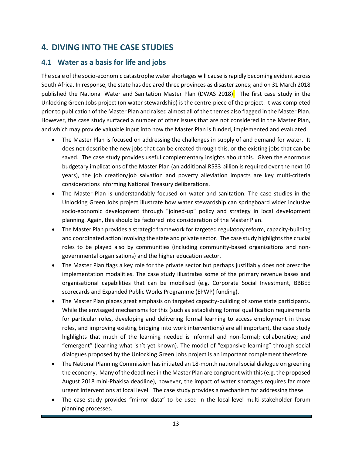# **4. DIVING INTO THE CASE STUDIES**

### <span id="page-12-0"></span>**4.1 Water as a basis for life and jobs**

The scale of the socio-economic catastrophe water shortages will cause is rapidly becoming evident across South Africa. In response, the state has declared three provinces as disaster zones; and on 31 March 2018 published the National Water and Sanitation Master Plan (DWAS 2018). The first case study in the Unlocking Green Jobs project (on water stewardship) is the centre-piece of the project. It was completed prior to publication of the Master Plan and raised almost all of the themes also flagged in the Master Plan. However, the case study surfaced a number of other issues that are not considered in the Master Plan, and which may provide valuable input into how the Master Plan is funded, implemented and evaluated.

- The Master Plan is focused on addressing the challenges in supply of and demand for water. It does not describe the new jobs that can be created through this, or the existing jobs that can be saved. The case study provides useful complementary insights about this. Given the enormous budgetary implications of the Master Plan (an additional R533 billion is required over the next 10 years), the job creation/job salvation and poverty alleviation impacts are key multi-criteria considerations informing National Treasury deliberations.
- The Master Plan is understandably focused on water and sanitation. The case studies in the Unlocking Green Jobs project illustrate how water stewardship can springboard wider inclusive socio-economic development through "joined-up" policy and strategy in local development planning. Again, this should be factored into consideration of the Master Plan.
- The Master Plan provides a strategic framework for targeted regulatory reform, capacity-building and coordinated action involving the state and private sector. The case study highlights the crucial roles to be played also by communities (including community-based organisations and nongovernmental organisations) and the higher education sector.
- The Master Plan flags a key role for the private sector but perhaps justifiably does not prescribe implementation modalities. The case study illustrates some of the primary revenue bases and organisational capabilities that can be mobilised (e.g. Corporate Social Investment, BBBEE scorecards and Expanded Public Works Programme (EPWP) funding).
- The Master Plan places great emphasis on targeted capacity-building of some state participants. While the envisaged mechanisms for this (such as establishing formal qualification requirements for particular roles, developing and delivering formal learning to access employment in these roles, and improving existing bridging into work interventions) are all important, the case study highlights that much of the learning needed is informal and non-formal; collaborative; and "emergent" (learning what isn't yet known). The model of "expansive learning" through social dialogues proposed by the Unlocking Green Jobs project is an important complement therefore.
- The National Planning Commission has initiated an 18-month national social dialogue on greening the economy. Many of the deadlines in the Master Plan are congruent with this (e.g. the proposed August 2018 mini-Phakisa deadline), however, the impact of water shortages requires far more urgent interventions at local level. The case study provides a mechanism for addressing these
- The case study provides "mirror data" to be used in the local-level multi-stakeholder forum planning processes.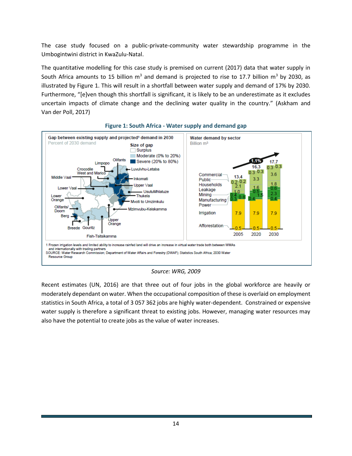The case study focused on a public-private-community water stewardship programme in the Umbogintwini district in KwaZulu-Natal.

The quantitative modelling for this case study is premised on current (2017) data that water supply in South Africa amounts to 15 billion  $m<sup>3</sup>$  and demand is projected to rise to 17.7 billion  $m<sup>3</sup>$  by 2030, as illustrated by Figure 1. This will result in a shortfall between water supply and demand of 17% by 2030. Furthermore, "[e]ven though this shortfall is significant, it is likely to be an underestimate as it excludes uncertain impacts of climate change and the declining water quality in the country." (Askham and Van der Poll, 2017)



#### **Figure 1: South Africa - Water supply and demand gap**

*Source: WRG, 2009*

Recent estimates (UN, 2016) are that three out of four jobs in the global workforce are heavily or moderately dependant on water. When the occupational composition of these is overlaid on employment statistics in South Africa, a total of 3 057 362 jobs are highly water-dependent. Constrained or expensive water supply is therefore a significant threat to existing jobs. However, managing water resources may also have the potential to create jobs as the value of water increases.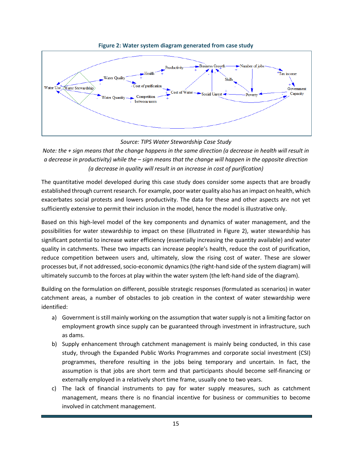

**Figure 2: Water system diagram generated from case study**

#### *Source: TIPS Water Stewardship Case Study*

*Note: the + sign means that the change happens in the same direction (a decrease in health will result in a decrease in productivity) while the – sign means that the change will happen in the opposite direction (a decrease in quality will result in an increase in cost of purification)*

The quantitative model developed during this case study does consider some aspects that are broadly established through current research. For example, poor water quality also has an impact on health, which exacerbates social protests and lowers productivity. The data for these and other aspects are not yet sufficiently extensive to permit their inclusion in the model, hence the model is illustrative only.

Based on this high-level model of the key components and dynamics of water management, and the possibilities for water stewardship to impact on these (illustrated in Figure 2), water stewardship has significant potential to increase water efficiency (essentially increasing the quantity available) and water quality in catchments. These two impacts can increase people's health, reduce the cost of purification, reduce competition between users and, ultimately, slow the rising cost of water. These are slower processes but, if not addressed, socio-economic dynamics (the right-hand side of the system diagram) will ultimately succumb to the forces at play within the water system (the left-hand side of the diagram).

Building on the formulation on different, possible strategic responses (formulated as scenarios) in water catchment areas, a number of obstacles to job creation in the context of water stewardship were identified:

- a) Government is still mainly working on the assumption that water supply is not a limiting factor on employment growth since supply can be guaranteed through investment in infrastructure, such as dams.
- b) Supply enhancement through catchment management is mainly being conducted, in this case study, through the Expanded Public Works Programmes and corporate social investment (CSI) programmes, therefore resulting in the jobs being temporary and uncertain. In fact, the assumption is that jobs are short term and that participants should become self-financing or externally employed in a relatively short time frame, usually one to two years.
- c) The lack of financial instruments to pay for water supply measures, such as catchment management, means there is no financial incentive for business or communities to become involved in catchment management.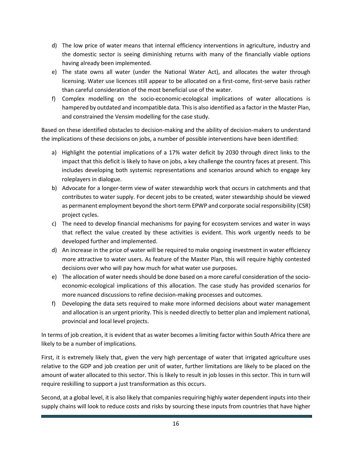- d) The low price of water means that internal efficiency interventions in agriculture, industry and the domestic sector is seeing diminishing returns with many of the financially viable options having already been implemented.
- e) The state owns all water (under the National Water Act), and allocates the water through licensing. Water use licences still appear to be allocated on a first-come, first-serve basis rather than careful consideration of the most beneficial use of the water.
- f) Complex modelling on the socio-economic-ecological implications of water allocations is hampered by outdated and incompatible data. This is also identified as a factor in the Master Plan, and constrained the Vensim modelling for the case study.

Based on these identified obstacles to decision-making and the ability of decision-makers to understand the implications of these decisions on jobs, a number of possible interventions have been identified:

- a) Highlight the potential implications of a 17% water deficit by 2030 through direct links to the impact that this deficit is likely to have on jobs, a key challenge the country faces at present. This includes developing both systemic representations and scenarios around which to engage key roleplayers in dialogue.
- b) Advocate for a longer-term view of water stewardship work that occurs in catchments and that contributes to water supply. For decent jobs to be created, water stewardship should be viewed as permanent employment beyond the short-term EPWP and corporate social responsibility (CSR) project cycles.
- c) The need to develop financial mechanisms for paying for ecosystem services and water in ways that reflect the value created by these activities is evident. This work urgently needs to be developed further and implemented.
- d) An increase in the price of water will be required to make ongoing investment in water efficiency more attractive to water users. As feature of the Master Plan, this will require highly contested decisions over who will pay how much for what water use purposes.
- e) The allocation of water needs should be done based on a more careful consideration of the socioeconomic-ecological implications of this allocation. The case study has provided scenarios for more nuanced discussions to refine decision-making processes and outcomes.
- f) Developing the data sets required to make more informed decisions about water management and allocation is an urgent priority. This is needed directly to better plan and implement national, provincial and local level projects.

In terms of job creation, it is evident that as water becomes a limiting factor within South Africa there are likely to be a number of implications.

First, it is extremely likely that, given the very high percentage of water that irrigated agriculture uses relative to the GDP and job creation per unit of water, further limitations are likely to be placed on the amount of water allocated to this sector. This is likely to result in job losses in this sector. This in turn will require reskilling to support a just transformation as this occurs.

Second, at a global level, it is also likely that companies requiring highly water dependent inputs into their supply chains will look to reduce costs and risks by sourcing these inputs from countries that have higher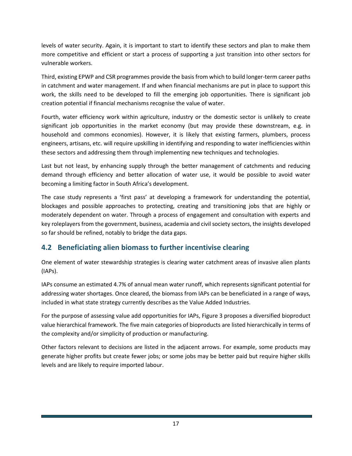levels of water security. Again, it is important to start to identify these sectors and plan to make them more competitive and efficient or start a process of supporting a just transition into other sectors for vulnerable workers.

Third, existing EPWP and CSR programmes provide the basis from which to build longer-term career paths in catchment and water management. If and when financial mechanisms are put in place to support this work, the skills need to be developed to fill the emerging job opportunities. There is significant job creation potential if financial mechanisms recognise the value of water.

Fourth, water efficiency work within agriculture, industry or the domestic sector is unlikely to create significant job opportunities in the market economy (but may provide these downstream, e.g. in household and commons economies). However, it is likely that existing farmers, plumbers, process engineers, artisans, etc. will require upskilling in identifying and responding to water inefficiencies within these sectors and addressing them through implementing new techniques and technologies.

Last but not least, by enhancing supply through the better management of catchments and reducing demand through efficiency and better allocation of water use, it would be possible to avoid water becoming a limiting factor in South Africa's development.

The case study represents a 'first pass' at developing a framework for understanding the potential, blockages and possible approaches to protecting, creating and transitioning jobs that are highly or moderately dependent on water. Through a process of engagement and consultation with experts and key roleplayers from the government, business, academia and civil society sectors, the insights developed so far should be refined, notably to bridge the data gaps.

### <span id="page-16-0"></span>**4.2 Beneficiating alien biomass to further incentivise clearing**

One element of water stewardship strategies is clearing water catchment areas of invasive alien plants (IAPs).

IAPs consume an estimated 4.7% of annual mean water runoff, which represents significant potential for addressing water shortages. Once cleared, the biomass from IAPs can be beneficiated in a range of ways, included in what state strategy currently describes as the Value Added Industries.

For the purpose of assessing value add opportunities for IAPs, Figure 3 proposes a diversified bioproduct value hierarchical framework. The five main categories of bioproducts are listed hierarchically in terms of the complexity and/or simplicity of production or manufacturing.

Other factors relevant to decisions are listed in the adjacent arrows. For example, some products may generate higher profits but create fewer jobs; or some jobs may be better paid but require higher skills levels and are likely to require imported labour.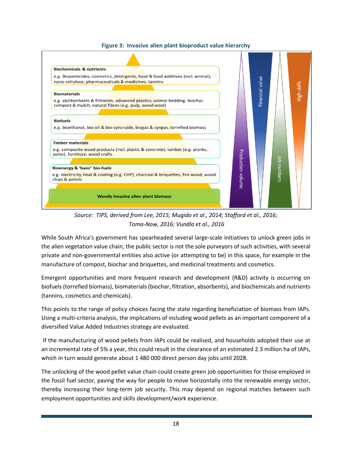#### **Figure 3: Invasive alien plant bioproduct value hierarchy**



*Source: TIPS, derived from Lee, 2015; Mugido et al., 2014; Stafford et al., 2016; Toma-Now, 2016; Vundla et al., 2016*

While South Africa's government has spearheaded several large-scale initiatives to unlock green jobs in the alien vegetation value chain, the public sector is not the sole purveyors of such activities, with several private and non-governmental entities also active (or attempting to be) in this space, for example in the manufacture of compost, biochar and briquettes, and medicinal treatments and cosmetics.

Emergent opportunities and more frequent research and development (R&D) activity is occurring on biofuels (torrefied biomass), biomaterials (biochar, filtration, absorbents), and biochemicals and nutrients (tannins, cosmetics and chemicals).

This points to the range of policy choices facing the state regarding beneficiation of biomass from IAPs. Using a multi-criteria analysis, the implications of including wood pellets as an important component of a diversified Value Added Industries strategy are evaluated.

If the manufacturing of wood pellets from IAPs could be realised, and households adopted their use at an incremental rate of 5% a year, this could result in the clearance of an estimated 2.3 million ha of IAPs, which in turn would generate about 1 480 000 direct person day jobs until 2028.

The unlocking of the wood pellet value chain could create green job opportunities for those employed in the fossil fuel sector, paving the way for people to move horizontally into the renewable energy sector, thereby increasing their long-term job security. This may depend on regional matches between such employment opportunities and skills development/work experience.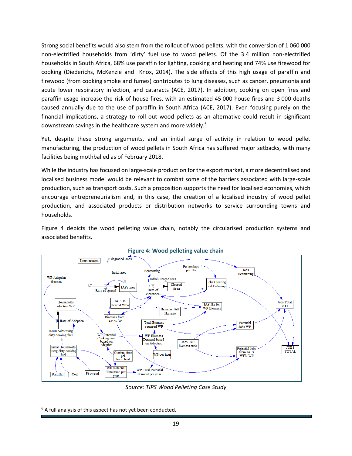Strong social benefits would also stem from the rollout of wood pellets, with the conversion of 1 060 000 non-electrified households from 'dirty' fuel use to wood pellets. Of the 3.4 million non-electrified households in South Africa, 68% use paraffin for lighting, cooking and heating and 74% use firewood for cooking (Diederichs, McKenzie and Knox, 2014). The side effects of this high usage of paraffin and firewood (from cooking smoke and fumes) contributes to lung diseases, such as cancer, pneumonia and acute lower respiratory infection, and cataracts (ACE, 2017). In addition, cooking on open fires and paraffin usage increase the risk of house fires, with an estimated 45 000 house fires and 3 000 deaths caused annually due to the use of paraffin in South Africa (ACE, 2017). Even focusing purely on the financial implications, a strategy to roll out wood pellets as an alternative could result in significant downstream savings in the healthcare system and more widely.<sup>6</sup>

Yet, despite these strong arguments, and an initial surge of activity in relation to wood pellet manufacturing, the production of wood pellets in South Africa has suffered major setbacks, with many facilities being mothballed as of February 2018.

While the industry has focused on large-scale production for the export market, a more decentralised and localised business model would be relevant to combat some of the barriers associated with large-scale production, such as transport costs. Such a proposition supports the need for localised economies, which encourage entrepreneurialism and, in this case, the creation of a localised industry of wood pellet production, and associated products or distribution networks to service surrounding towns and households.

Figure 4 depicts the wood pelleting value chain, notably the circularised production systems and associated benefits.



#### **Figure 4: Wood pelleting value chain**

*Source: TIPS Wood Pelleting Case Study*

 $\overline{a}$ 

 $6$  A full analysis of this aspect has not yet been conducted.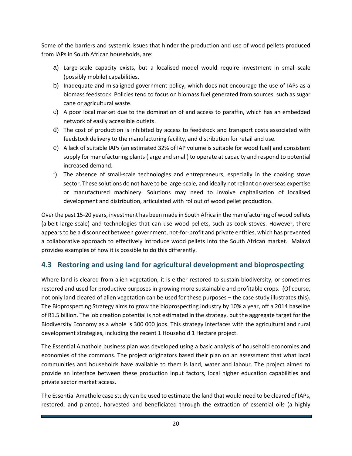Some of the barriers and systemic issues that hinder the production and use of wood pellets produced from IAPs in South African households, are:

- a) Large-scale capacity exists, but a localised model would require investment in small-scale (possibly mobile) capabilities.
- b) Inadequate and misaligned government policy, which does not encourage the use of IAPs as a biomass feedstock. Policies tend to focus on biomass fuel generated from sources, such as sugar cane or agricultural waste.
- c) A poor local market due to the domination of and access to paraffin, which has an embedded network of easily accessible outlets.
- d) The cost of production is inhibited by access to feedstock and transport costs associated with feedstock delivery to the manufacturing facility, and distribution for retail and use.
- e) A lack of suitable IAPs (an estimated 32% of IAP volume is suitable for wood fuel) and consistent supply for manufacturing plants (large and small) to operate at capacity and respond to potential increased demand.
- f) The absence of small-scale technologies and entrepreneurs, especially in the cooking stove sector. These solutions do not have to be large-scale, and ideally not reliant on overseas expertise or manufactured machinery. Solutions may need to involve capitalisation of localised development and distribution, articulated with rollout of wood pellet production.

Over the past 15-20 years, investment has been made in South Africa in the manufacturing of wood pellets (albeit large-scale) and technologies that can use wood pellets, such as cook stoves. However, there appears to be a disconnect between government, not-for-profit and private entities, which has prevented a collaborative approach to effectively introduce wood pellets into the South African market. Malawi provides examples of how it is possible to do this differently.

### <span id="page-19-0"></span>**4.3 Restoring and using land for agricultural development and bioprospecting**

Where land is cleared from alien vegetation, it is either restored to sustain biodiversity, or sometimes restored and used for productive purposes in growing more sustainable and profitable crops. (Of course, not only land cleared of alien vegetation can be used for these purposes – the case study illustrates this). The Bioprospecting Strategy aims to grow the bioprospecting industry by 10% a year, off a 2014 baseline of R1.5 billion. The job creation potential is not estimated in the strategy, but the aggregate target for the Biodiversity Economy as a whole is 300 000 jobs. This strategy interfaces with the agricultural and rural development strategies, including the recent 1 Household 1 Hectare project.

The Essential Amathole business plan was developed using a basic analysis of household economies and economies of the commons. The project originators based their plan on an assessment that what local communities and households have available to them is land, water and labour. The project aimed to provide an interface between these production input factors, local higher education capabilities and private sector market access.

The Essential Amathole case study can be used to estimate the land that would need to be cleared of IAPs, restored, and planted, harvested and beneficiated through the extraction of essential oils (a highly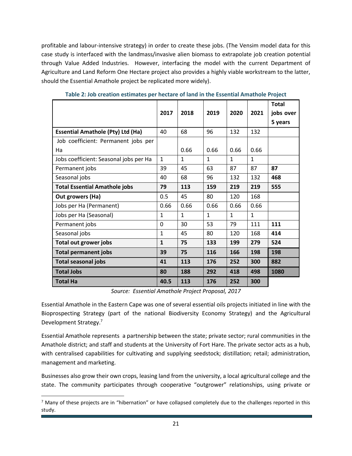profitable and labour-intensive strategy) in order to create these jobs. (The Vensim model data for this case study is interfaced with the landmass/invasive alien biomass to extrapolate job creation potential through Value Added Industries. However, interfacing the model with the current Department of Agriculture and Land Reform One Hectare project also provides a highly viable workstream to the latter, should the Essential Amathole project be replicated more widely).

|                                          |              |              |              |              |              | <b>Total</b> |
|------------------------------------------|--------------|--------------|--------------|--------------|--------------|--------------|
|                                          | 2017         | 2018         | 2019         | 2020         | 2021         | jobs over    |
|                                          |              |              |              |              |              | 5 years      |
| <b>Essential Amathole (Pty) Ltd (Ha)</b> | 40           | 68           | 96           | 132          | 132          |              |
| Job coefficient: Permanent jobs per      |              |              |              |              |              |              |
| Ha                                       |              | 0.66         | 0.66         | 0.66         | 0.66         |              |
| Jobs coefficient: Seasonal jobs per Ha   | $\mathbf{1}$ | 1            | $\mathbf{1}$ | $\mathbf{1}$ | $\mathbf{1}$ |              |
| Permanent jobs                           | 39           | 45           | 63           | 87           | 87           | 87           |
| Seasonal jobs                            | 40           | 68           | 96           | 132          | 132          | 468          |
| <b>Total Essential Amathole jobs</b>     | 79           | 113          | 159          | 219          | 219          | 555          |
| Out growers (Ha)                         | 0.5          | 45           | 80           | 120          | 168          |              |
| Jobs per Ha (Permanent)                  | 0.66         | 0.66         | 0.66         | 0.66         | 0.66         |              |
| Jobs per Ha (Seasonal)                   | $\mathbf{1}$ | $\mathbf{1}$ | $\mathbf{1}$ | $\mathbf{1}$ | $\mathbf{1}$ |              |
| Permanent jobs                           | 0            | 30           | 53           | 79           | 111          | 111          |
| Seasonal jobs                            | $\mathbf{1}$ | 45           | 80           | 120          | 168          | 414          |
| Total out grower jobs                    | $\mathbf{1}$ | 75           | 133          | 199          | 279          | 524          |
| <b>Total permanent jobs</b>              | 39           | 75           | 116          | 166          | 198          | 198          |
| <b>Total seasonal jobs</b>               | 41           | 113          | 176          | 252          | 300          | 882          |
| <b>Total Jobs</b>                        | 80           | 188          | 292          | 418          | 498          | 1080         |
| <b>Total Ha</b>                          | 40.5         | 113          | 176          | 252          | 300          |              |

**Table 2: Job creation estimates per hectare of land in the Essential Amathole Project**

*Source: Essential Amathole Project Proposal, 2017*

Essential Amathole in the Eastern Cape was one of several essential oils projects initiated in line with the Bioprospecting Strategy (part of the national Biodiversity Economy Strategy) and the Agricultural Development Strategy.<sup>7</sup>

Essential Amathole represents a partnership between the state; private sector; rural communities in the Amathole district; and staff and students at the University of Fort Hare. The private sector acts as a hub, with centralised capabilities for cultivating and supplying seedstock; distillation; retail; administration, management and marketing.

Businesses also grow their own crops, leasing land from the university, a local agricultural college and the state. The community participates through cooperative "outgrower" relationships, using private or

 $\overline{a}$ 

 $<sup>7</sup>$  Many of these projects are in "hibernation" or have collapsed completely due to the challenges reported in this</sup> study.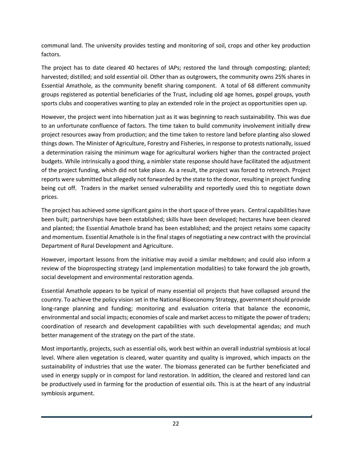communal land. The university provides testing and monitoring of soil, crops and other key production factors.

The project has to date cleared 40 hectares of IAPs; restored the land through composting; planted; harvested; distilled; and sold essential oil. Other than as outgrowers, the community owns 25% shares in Essential Amathole, as the community benefit sharing component. A total of 68 different community groups registered as potential beneficiaries of the Trust, including old age homes, gospel groups, youth sports clubs and cooperatives wanting to play an extended role in the project as opportunities open up.

However, the project went into hibernation just as it was beginning to reach sustainability. This was due to an unfortunate confluence of factors. The time taken to build community involvement initially drew project resources away from production; and the time taken to restore land before planting also slowed things down. The Minister of Agriculture, Forestry and Fisheries, in response to protests nationally, issued a determination raising the minimum wage for agricultural workers higher than the contracted project budgets. While intrinsically a good thing, a nimbler state response should have facilitated the adjustment of the project funding, which did not take place. As a result, the project was forced to retrench. Project reports were submitted but allegedly not forwarded by the state to the donor, resulting in project funding being cut off. Traders in the market sensed vulnerability and reportedly used this to negotiate down prices.

The project has achieved some significant gains in the short space of three years. Central capabilities have been built; partnerships have been established; skills have been developed; hectares have been cleared and planted; the Essential Amathole brand has been established; and the project retains some capacity and momentum. Essential Amathole is in the final stages of negotiating a new contract with the provincial Department of Rural Development and Agriculture.

However, important lessons from the initiative may avoid a similar meltdown; and could also inform a review of the bioprospecting strategy (and implementation modalities) to take forward the job growth, social development and environmental restoration agenda.

Essential Amathole appears to be typical of many essential oil projects that have collapsed around the country. To achieve the policy vision set in the National Bioeconomy Strategy, government should provide long-range planning and funding; monitoring and evaluation criteria that balance the economic, environmental and social impacts; economies of scale and market access to mitigate the power of traders; coordination of research and development capabilities with such developmental agendas; and much better management of the strategy on the part of the state.

Most importantly, projects, such as essential oils, work best within an overall industrial symbiosis at local level. Where alien vegetation is cleared, water quantity and quality is improved, which impacts on the sustainability of industries that use the water. The biomass generated can be further beneficiated and used in energy supply or in compost for land restoration. In addition, the cleared and restored land can be productively used in farming for the production of essential oils. This is at the heart of any industrial symbiosis argument.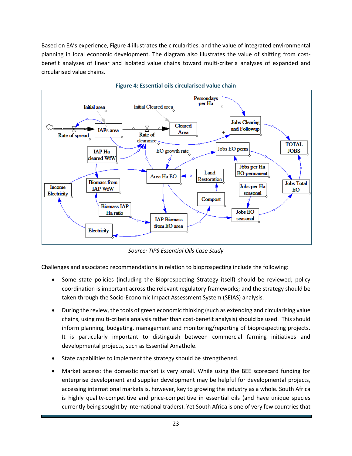Based on EA's experience, Figure 4 illustrates the circularities, and the value of integrated environmental planning in local economic development. The diagram also illustrates the value of shifting from costbenefit analyses of linear and isolated value chains toward multi-criteria analyses of expanded and circularised value chains.



*Source: TIPS Essential Oils Case Study*

Challenges and associated recommendations in relation to bioprospecting include the following:

- Some state policies (including the Bioprospecting Strategy itself) should be reviewed; policy coordination is important across the relevant regulatory frameworks; and the strategy should be taken through the Socio-Economic Impact Assessment System (SEIAS) analysis.
- During the review, the tools of green economic thinking (such as extending and circularising value chains, using multi-criteria analysis rather than cost-benefit analysis) should be used. This should inform planning, budgeting, management and monitoring/reporting of bioprospecting projects. It is particularly important to distinguish between commercial farming initiatives and developmental projects, such as Essential Amathole.
- State capabilities to implement the strategy should be strengthened.
- Market access: the domestic market is very small. While using the BEE scorecard funding for enterprise development and supplier development may be helpful for developmental projects, accessing international markets is, however, key to growing the industry as a whole. South Africa is highly quality-competitive and price-competitive in essential oils (and have unique species currently being sought by international traders). Yet South Africa is one of very few countries that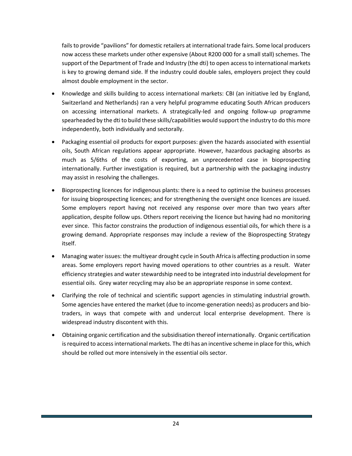fails to provide "pavilions" for domestic retailers at international trade fairs. Some local producers now access these markets under other expensive (About R200 000 for a small stall) schemes. The support of the Department of Trade and Industry (the dti) to open access to international markets is key to growing demand side. lf the industry could double sales, employers project they could almost double employment in the sector.

- Knowledge and skills building to access international markets: CBI (an initiative led by England, Switzerland and Netherlands) ran a very helpful programme educating South African producers on accessing international markets. A strategically-led and ongoing follow-up programme spearheaded by the dti to build these skills/capabilities would support the industry to do this more independently, both individually and sectorally.
- Packaging essential oil products for export purposes: given the hazards associated with essential oils, South African regulations appear appropriate. However, hazardous packaging absorbs as much as 5/6ths of the costs of exporting, an unprecedented case in bioprospecting internationally. Further investigation is required, but a partnership with the packaging industry may assist in resolving the challenges.
- Bioprospecting licences for indigenous plants: there is a need to optimise the business processes for issuing bioprospecting licences; and for strengthening the oversight once licences are issued. Some employers report having not received any response over more than two years after application, despite follow ups. Others report receiving the licence but having had no monitoring ever since. This factor constrains the production of indigenous essential oils, for which there is a growing demand. Appropriate responses may include a review of the Bioprospecting Strategy itself.
- Managing water issues: the multiyear drought cycle in South Africa is affecting production in some areas. Some employers report having moved operations to other countries as a result. Water efficiency strategies and water stewardship need to be integrated into industrial development for essential oils. Grey water recycling may also be an appropriate response in some context.
- Clarifying the role of technical and scientific support agencies in stimulating industrial growth. Some agencies have entered the market (due to income-generation needs) as producers and biotraders, in ways that compete with and undercut local enterprise development. There is widespread industry discontent with this.
- Obtaining organic certification and the subsidisation thereof internationally. Organic certification is required to access international markets. The dti has an incentive scheme in place for this, which should be rolled out more intensively in the essential oils sector.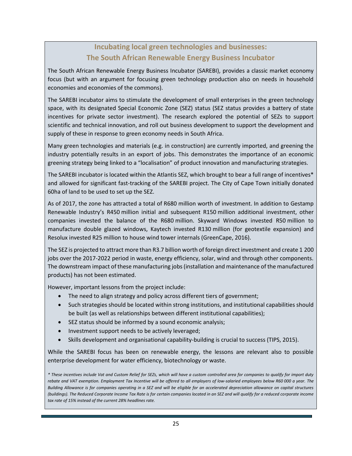# **Incubating local green technologies and businesses: The South African Renewable Energy Business Incubator**

The South African Renewable Energy Business Incubator (SAREBI), provides a classic market economy focus (but with an argument for focusing green technology production also on needs in household economies and economies of the commons).

The SAREBI incubator aims to stimulate the development of small enterprises in the green technology space, with its designated Special Economic Zone (SEZ) status (SEZ status provides a battery of state incentives for private sector investment). The research explored the potential of SEZs to support scientific and technical innovation, and roll out business development to support the development and supply of these in response to green economy needs in South Africa.

Many green technologies and materials (e.g. in construction) are currently imported, and greening the industry potentially results in an export of jobs. This demonstrates the importance of an economic greening strategy being linked to a "localisation" of product innovation and manufacturing strategies.

The SAREBI incubator is located within the Atlantis SEZ, which brought to bear a full range of incentives\* and allowed for significant fast-tracking of the SAREBI project. The City of Cape Town initially donated 60ha of land to be used to set up the SEZ.

As of 2017, the zone has attracted a total of R680 million worth of investment. In addition to Gestamp Renewable Industry's R450 million initial and subsequent R150 million additional investment, other companies invested the balance of the R680 million. Skyward Windows invested R50 million to manufacture double glazed windows, Kaytech invested R130 million (for geotextile expansion) and Resolux invested R25 million to house wind tower internals (GreenCape, 2016).

The SEZ is projected to attract more than R3.7 billion worth of foreign direct investment and create 1 200 jobs over the 2017-2022 period in waste, energy efficiency, solar, wind and through other components. The downstream impact of these manufacturing jobs (installation and maintenance of the manufactured products) has not been estimated.

However, important lessons from the project include:

- The need to align strategy and policy across different tiers of government;
- Such strategies should be located within strong institutions, and institutional capabilities should be built (as well as relationships between different institutional capabilities);
- SEZ status should be informed by a sound economic analysis;
- Investment support needs to be actively leveraged;
- Skills development and organisational capability-building is crucial to success (TIPS, 2015).

While the SAREBI focus has been on renewable energy, the lessons are relevant also to possible enterprise development for water efficiency, biotechnology or waste.

*\* These incentives include Vat and Custom Relief for SEZs, which will have a custom controlled area for companies to qualify for import duty rebate and VAT exemption. Employment Tax Incentive will be offered to all employers of low-salaried employees below R60 000 a year. The Building Allowance is for companies operating in a SEZ and will be eligible for an accelerated depreciation allowance on capital structures (buildings). The Reduced Corporate Income Tax Rate is for certain companies located in an SEZ and will qualify for a reduced corporate income tax rate of 15% instead of the current 28% headlines rate.*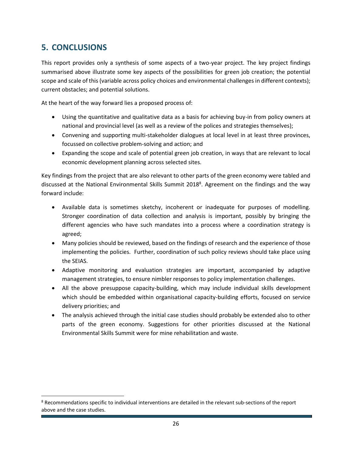# <span id="page-25-0"></span>**5. CONCLUSIONS**

 $\overline{a}$ 

This report provides only a synthesis of some aspects of a two-year project. The key project findings summarised above illustrate some key aspects of the possibilities for green job creation; the potential scope and scale of this (variable across policy choices and environmental challenges in different contexts); current obstacles; and potential solutions.

At the heart of the way forward lies a proposed process of:

- Using the quantitative and qualitative data as a basis for achieving buy-in from policy owners at national and provincial level (as well as a review of the polices and strategies themselves);
- Convening and supporting multi-stakeholder dialogues at local level in at least three provinces, focussed on collective problem-solving and action; and
- Expanding the scope and scale of potential green job creation, in ways that are relevant to local economic development planning across selected sites.

Key findings from the project that are also relevant to other parts of the green economy were tabled and discussed at the National Environmental Skills Summit 2018<sup>8</sup>. Agreement on the findings and the way forward include:

- Available data is sometimes sketchy, incoherent or inadequate for purposes of modelling. Stronger coordination of data collection and analysis is important, possibly by bringing the different agencies who have such mandates into a process where a coordination strategy is agreed;
- Many policies should be reviewed, based on the findings of research and the experience of those implementing the policies. Further, coordination of such policy reviews should take place using the SEIAS.
- Adaptive monitoring and evaluation strategies are important, accompanied by adaptive management strategies, to ensure nimbler responses to policy implementation challenges.
- All the above presuppose capacity-building, which may include individual skills development which should be embedded within organisational capacity-building efforts, focused on service delivery priorities; and
- The analysis achieved through the initial case studies should probably be extended also to other parts of the green economy. Suggestions for other priorities discussed at the National Environmental Skills Summit were for mine rehabilitation and waste.

<sup>8</sup> Recommendations specific to individual interventions are detailed in the relevant sub-sections of the report above and the case studies.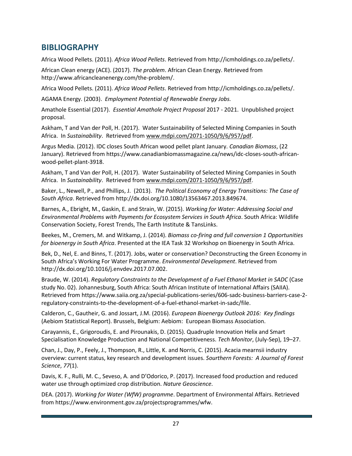### <span id="page-26-0"></span>**BIBLIOGRAPHY**

Africa Wood Pellets. (2011). *Africa Wood Pellets*. Retrieved from http://icmholdings.co.za/pellets/.

African Clean energy (ACE). (2017). *The problem*. African Clean Energy. Retrieved from http://www.africancleanenergy.com/the-problem/.

Africa Wood Pellets. (2011). *Africa Wood Pellets*. Retrieved from http://icmholdings.co.za/pellets/.

AGAMA Energy. (2003). *Employment Potential of Renewable Energy Jobs.*

Amathole Essential (2017). *Essential Amathole Project Proposal* 2017 - 2021. Unpublished project proposal.

Askham, T and Van der Poll, H. (2017). Water Sustainability of Selected Mining Companies in South Africa. In *Sustainability*. Retrieved from [www.mdpi.com/2071-1050/9/6/957/pdf.](http://www.mdpi.com/2071-1050/9/6/957/pdf)

Argus Media. (2012). IDC closes South African wood pellet plant January. *Canadian Biomass*, (22 January). Retrieved from https://www.canadianbiomassmagazine.ca/news/idc-closes-south-africanwood-pellet-plant-3918.

Askham, T and Van der Poll, H. (2017). Water Sustainability of Selected Mining Companies in South Africa. In *Sustainability*. Retrieved from [www.mdpi.com/2071-1050/9/6/957/pdf.](http://www.mdpi.com/2071-1050/9/6/957/pdf)

Baker, L., Newell, P., and Phillips, J. (2013). *The Political Economy of Energy Transitions: The Case of South Africa*. Retrieved from http://dx.doi.org/10.1080/13563467.2013.849674.

Barnes, A., Ebright, M., Gaskin, E. and Strain, W. (2015). *Working for Water: Addressing Social and Environmental Problems with Payments for Ecosystem Services in South Africa*. South Africa: Wildlife Conservation Society, Forest Trends, The Earth Institute & TansLinks.

Beekes, M., Cremers, M. and Witkamp, J. (2014). *Biomass co-firing and full conversion 1 Opportunities for bioenergy in South Africa*. Presented at the IEA Task 32 Workshop on Bioenergy in South Africa.

Bek, D., Nel, E. and Binns, T. (2017). Jobs, water or conservation? Deconstructing the Green Economy in South Africa's Working For Water Programme. *Environmental Development*. Retrieved from http://dx.doi.org/10.1016/j.envdev.2017.07.002.

Braude, W. (2014). *Regulatory Constraints to the Development of a Fuel Ethanol Market in SADC* (Case study No. 02). Johannesburg, South Africa: South African Institute of International Affairs (SAIIA). Retrieved from https://www.saiia.org.za/special-publications-series/606-sadc-business-barriers-case-2 regulatory-constraints-to-the-development-of-a-fuel-ethanol-market-in-sadc/file.

Calderon, C., Gautheir, G. and Jossart, J.M. (2016). *European Bioenergy Outlook 2016: Key findings* (Aebiom Statistical Report). Brussels, Belgium: Aebiom: European Biomass Association.

Carayannis, E., Grigoroudis, E. and Pirounakis, D. (2015). Quadruple Innovation Helix and Smart Specialisation Knowledge Production and National Competitiveness. *Tech Monitor*, (July-Sep), 19–27.

Chan, J., Day, P., Feely, J., Thompson, R., Little, K. and Norris, C. (2015). Acacia mearnsii industry overview: current status, key research and development issues. *Sourthern Forests: A Journal of Forest Science*, *77*(1).

Davis, K. F., Rulli, M. C., Seveso, A. and D'Odorico, P. (2017). Increased food production and reduced water use through optimized crop distribution. *Nature Geoscience*.

DEA. (2017). *Working for Water (WfW) programme*. Department of Environmental Affairs. Retrieved from https://www.environment.gov.za/projectsprogrammes/wfw.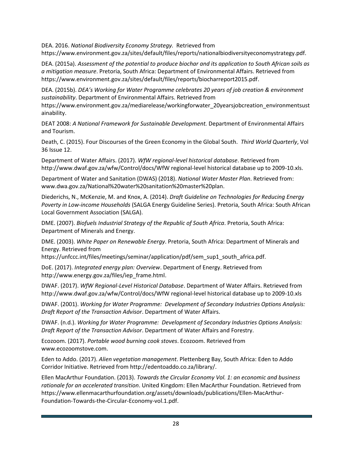DEA. 2016. *National Biodiversity Economy Strategy.* Retrieved from https://www.environment.gov.za/sites/default/files/reports/nationalbiodiversityeconomystrategy.pdf.

DEA. (2015a). *Assessment of the potential to produce biochar and its application to South African soils as a mitigation measure*. Pretoria, South Africa: Department of Environmental Affairs. Retrieved from https://www.environment.gov.za/sites/default/files/reports/biocharreport2015.pdf.

DEA. (2015b). *DEA's Working for Water Programme celebrates 20 years of job creation & environment sustainability*. Department of Environmental Affairs. Retrieved from

https://www.environment.gov.za/mediarelease/workingforwater\_20yearsjobcreation\_environmentsust ainability.

DEAT 2008: *A National Framework for Sustainable Development.* Department of Environmental Affairs and Tourism.

Death, C. (2015). Four Discourses of the Green Economy in the Global South. *Third World Quarterly*, Vol 36 Issue 12.

Department of Water Affairs. (2017). *WfW regional-level historical database*. Retrieved from http://www.dwaf.gov.za/wfw/Control/docs/WfW regional-level historical database up to 2009-10.xls.

Department of Water and Sanitation (DWAS) (2018). *National Water Master Plan*. Retrieved from: www.dwa.gov.za/National%20water%20sanitation%20master%20plan.

Diederichs, N., McKenzie, M. and Knox, A. (2014). *Draft Guideline on Technologies for Reducing Energy Poverty in Low-income Households* (SALGA Energy Guideline Series). Pretoria, South Africa: South African Local Government Association (SALGA).

DME. (2007). *Biofuels Industrial Strategy of the Republic of South Africa*. Pretoria, South Africa: Department of Minerals and Energy.

DME. (2003). *White Paper on Renewable Energy*. Pretoria, South Africa: Department of Minerals and Energy. Retrieved from

https://unfccc.int/files/meetings/seminar/application/pdf/sem\_sup1\_south\_africa.pdf.

DoE. (2017). *Integrated energy plan: Overview*. Department of Energy. Retrieved from http://www.energy.gov.za/files/iep\_frame.html.

DWAF. (2017). *WfW Regional-Level Historical Database*. Department of Water Affairs. Retrieved from http://www.dwaf.gov.za/wfw/Control/docs/WfW regional-level historical database up to 2009-10.xls

DWAF. (2001). *Working for Water Programme: Development of Secondary Industries Options Analysis: Draft Report of the Transaction Advisor*. Department of Water Affairs.

DWAF. (n.d.). *Working for Water Programme: Development of Secondary Industries Options Analysis: Draft Report of the Transaction Advisor*. Department of Water Affairs and Forestry.

Ecozoom. (2017). *Portable wood burning cook stoves*. Ecozoom. Retrieved from www.ecozoomstove.com.

Eden to Addo. (2017). *Alien vegetation management*. Plettenberg Bay, South Africa: Eden to Addo Corridor Initiative. Retrieved from http://edentoaddo.co.za/library/.

Ellen MacArthur Foundation. (2013). *Towards the Circular Economy Vol. 1: an economic and business rationale for an accelerated transition*. United Kingdom: Ellen MacArthur Foundation. Retrieved from https://www.ellenmacarthurfoundation.org/assets/downloads/publications/Ellen-MacArthur-Foundation-Towards-the-Circular-Economy-vol.1.pdf.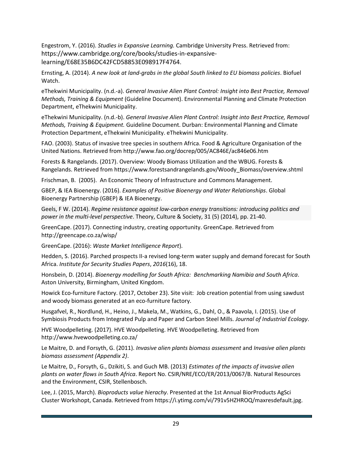Engestrom, Y. (2016). *Studies in Expansive Learning.* Cambridge University Press. Retrieved from: https://www.cambridge.org/core/books/studies-in-expansivelearning/E68E35B6DC42FCD58853E098917F4764.

Ernsting, A. (2014). *A new look at land-grabs in the global South linked to EU biomass policies*. Biofuel Watch.

eThekwini Municipality. (n.d.-a). *General Invasive Alien Plant Control: Insight into Best Practice, Removal Methods, Training & Equipment* (Guideline Document). Environmental Planning and Climate Protection Department, eThekwini Municipality.

eThekwini Municipality. (n.d.-b). *General Invasive Alien Plant Control: Insight into Best Practice, Removal Methods, Training & Equipment.* Guideline Document. Durban: Environmental Planning and Climate Protection Department, eThekwini Municipality. eThekwini Municipality.

FAO. (2003). Status of invasive tree species in southern Africa. Food & Agriculture Organisation of the United Nations. Retrieved from http://www.fao.org/docrep/005/AC846E/ac846e06.htm

Forests & Rangelands. (2017). Overview: Woody Biomass Utilization and the WBUG. Forests & Rangelands. Retrieved from https://www.forestsandrangelands.gov/Woody\_Biomass/overview.shtml

Frischman, B. (2005). An Economic Theory of Infrastructure and Commons Management.

GBEP, & IEA Bioenergy. (2016). *Examples of Positive Bioenergy and Water Relationships*. Global Bioenergy Partnership (GBEP) & IEA Bioenergy.

Geels, F W. (2014). *Regime resistance against low-carbon energy transitions: introducing politics and power in the multi-level perspective*. Theory, Culture & Society, 31 (5) (2014), pp. 21-40.

GreenCape. (2017). Connecting industry, creating opportunity. GreenCape. Retrieved from http://greencape.co.za/wisp/

GreenCape. (2016): *Waste Market Intelligence Report*).

Hedden, S. (2016). Parched prospects II-a revised long-term water supply and demand forecast for South Africa. *Institute for Security Studies Papers*, *2016*(16), 18.

Honsbein, D. (2014). *Bioenergy modelling for South Africa: Benchmarking Namibia and South Africa*. Aston University, Birmingham, United Kingdom.

Howick Eco-furniture Factory. (2017, October 23). Site visit: Job creation potential from using sawdust and woody biomass generated at an eco-furniture factory.

Husgafvel, R., Nordlund, H., Heino, J., Makela, M., Watkins, G., Dahl, O., & Paavola, I. (2015). Use of Symbiosis Products from Integrated Pulp and Paper and Carbon Steel Mills. *Journal of Industrial Ecology*.

HVE Woodpelleting. (2017). HVE Woodpelleting. HVE Woodpelleting. Retrieved from http://www.hvewoodpelleting.co.za/

Le Maitre, D. and Forsyth, G. (2011). *Invasive alien plants biomass assessment* and *Invasive alien plants biomass assessment (Appendix 2)*.

Le Maitre, D., Forsyth, G., Dzikiti, S. and Guch MB. (2013) *Estimates of the impacts of invasive alien plants on water flows in South Africa*. Report No. CSIR/NRE/ECO/ER/2013/0067/B. Natural Resources and the Environment, CSIR, Stellenbosch.

Lee, J. (2015, March). *Bioproducts value hierachy*. Presented at the 1st Annual BiorProducts AgSci Cluster Workshopt, Canada. Retrieved from https://i.ytimg.com/vi/791v5HZHROQ/maxresdefault.jpg.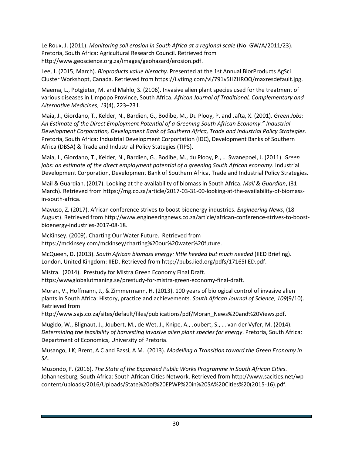Le Roux, J. (2011). *Monitoring soil erosion in South Africa at a regional scale* (No. GW/A/2011/23). Pretoria, South Africa: Agricultural Research Council. Retrieved from http://www.geoscience.org.za/images/geohazard/erosion.pdf.

Lee, J. (2015, March). *Bioproducts value hierachy*. Presented at the 1st Annual BiorProducts AgSci Cluster Workshopt, Canada. Retrieved from https://i.ytimg.com/vi/791v5HZHROQ/maxresdefault.jpg.

Maema, L., Potgieter, M. and Mahlo, S. (2106). Invasive alien plant species used for the treatment of various diseases in Limpopo Province, South Africa. *African Journal of Traditional, Complementary and Alternative Medicines*, *13*(4), 223–231.

Maia, J., Giordano, T., Kelder, N., Bardien, G., Bodibe, M., Du Plooy, P. and Jafta, X. (2001). *Green Jobs: An Estimate of the Direct Employment Potential of a Greening South African Economy." Industrial Development Corporation, Development Bank of Southern Africa, Trade and Industrial Policy Strategies.* Pretoria, South Africa: Industrial Development Corportation (IDC), Development Banks of Southern Africa (DBSA) & Trade and Industrial Policy Stategies (TIPS).

Maia, J., Giordano, T., Kelder, N., Bardien, G., Bodibe, M., du Plooy, P., … Swanepoel, J. (2011). *Green jobs: an estimate of the direct employment potential of a greening South African economy*. Industrial Development Corporation, Development Bank of Southern Africa, Trade and Industrial Policy Strategies.

Mail & Guardian. (2017). Looking at the availability of biomass in South Africa. *Mail & Guardian*, (31 March). Retrieved from https://mg.co.za/article/2017-03-31-00-looking-at-the-availability-of-biomassin-south-africa.

Mavuso, Z. (2017). African conference strives to boost bioenergy industries. *Engineering News*, (18 August). Retrieved from http://www.engineeringnews.co.za/article/african-conference-strives-to-boostbioenergy-industries-2017-08-18.

McKinsey. (2009). Charting Our Water Future. Retrieved from https://mckinsey.com/mckinsey/charting%20our%20water%20future.

McQueen, D. (2013). *South African biomass energy: little heeded but much needed* (IIED Briefing). London, United Kingdom: IIED. Retrieved from http://pubs.iied.org/pdfs/17165IIED.pdf.

Mistra. (2014). Prestudy for Mistra Green Economy Final Draft. https:/wwwglobalutmaning.se/prestudy-for-mistra-green-economy-final-draft.

Moran, V., Hoffmann, J., & Zimmermann, H. (2013). 100 years of biological control of invasive alien plants in South Africa: History, practice and achievements. *South African Journal of Science*, *109*(9/10). Retrieved from

http://www.sajs.co.za/sites/default/files/publications/pdf/Moran\_News%20and%20Views.pdf.

Mugido, W., Blignaut, J., Joubert, M., de Wet, J., Knipe, A., Joubert, S., … van der Vyfer, M. (2014). *Determining the feasibility of harvesting invasive alien plant species for energy*. Pretoria, South Africa: Department of Economics, University of Pretoria.

Musango, J K; Brent, A C and Bassi, A M. (2013). *Modelling a Transition toward the Green Economy in SA*.

Muzondo, F. (2016). *The State of the Expanded Public Works Programme in South African Cities*. Johannesburg, South Africa: South African Cities Network. Retrieved from http://www.sacities.net/wpcontent/uploads/2016/Uploads/State%20of%20EPWP%20in%20SA%20Cities%20(2015-16).pdf.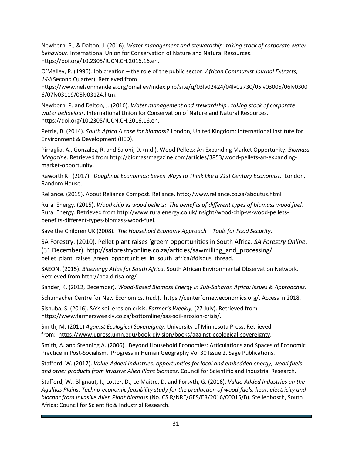Newborn, P., & Dalton, J. (2016). *Water management and stewardship: taking stock of corporate water behaviour*. International Union for Conservation of Nature and Natural Resources. https://doi.org/10.2305/IUCN.CH.2016.16.en.

O'Malley, P. (1996). Job creation – the role of the public sector. *African Communist Journal Extracts*, *144*(Second Quarter). Retrieved from

https://www.nelsonmandela.org/omalley/index.php/site/q/03lv02424/04lv02730/05lv03005/06lv0300 6/07lv03119/08lv03124.htm.

Newborn, P. and Dalton, J. (2016). *Water management and stewardship : taking stock of corporate water behaviour*. International Union for Conservation of Nature and Natural Resources. https://doi.org/10.2305/IUCN.CH.2016.16.en.

Petrie, B. (2014). *South Africa A case for biomass?* London, United Kingdom: International Institute for Environment & Development (IIED).

Pirraglia, A., Gonzalez, R. and Saloni, D. (n.d.). Wood Pellets: An Expanding Market Opportunity. *Biomass Magazine*. Retrieved from http://biomassmagazine.com/articles/3853/wood-pellets-an-expandingmarket-opportunity.

Raworth K. (2017). *Doughnut Economics: Seven Ways to Think like a 21st Century Economist.* London, Random House.

Reliance. (2015). About Reliance Compost. Reliance. http://www.reliance.co.za/aboutus.html

Rural Energy. (2015). *Wood chip vs wood pellets: The benefits of different types of biomass wood fuel.*  Rural Energy. Retrieved from http://www.ruralenergy.co.uk/insight/wood-chip-vs-wood-pelletsbenefits-different-types-biomass-wood-fuel.

Save the Children UK (2008). *The Household Economy Approach – Tools for Food Security*.

SA Forestry. (2010). Pellet plant raises 'green' opportunities in South Africa. *SA Forestry Online*, (31 December). http://saforestryonline.co.za/articles/sawmilling\_and\_processing/ pellet\_plant\_raises\_green\_opportunities\_in\_south\_africa/#disqus\_thread.

SAEON. (2015). *Bioenergy Atlas for South Africa*. South African Environmental Observation Network. Retrieved from http://bea.dirisa.org/

Sander, K. (2012, December). *Wood-Based Biomass Energy in Sub-Saharan Africa: Issues & Approaches*.

Schumacher Centre for New Economics. (n.d.). https://centerforneweconomics.org/. Access in 2018.

Sishuba, S. (2016). SA's soil erosion crisis. *Farmer's Weekly*, (27 July). Retrieved from https://www.farmersweekly.co.za/bottomline/sas-soil-erosion-crisis/.

Smith, M. (2011) *Against Ecological Sovereignty.* University of Minnesota Press. Retrieved from: [https://www.upress.umn.edu/book-division/books/against-ecological-sovereignty.](https://www.upress.umn.edu/book-division/books/against-ecological-sovereignty)

Smith, A. and Stenning A. (2006). Beyond Household Economies: Articulations and Spaces of Economic Practice in Post-Socialism. Progress in Human Geography Vol 30 Issue 2. Sage Publications.

Stafford, W. (2017). *Value-Added Industries: opportunities for local and embedded energy, wood fuels and other products from Invasive Alien Plant biomass*. Council for Scientific and Industrial Research.

Stafford, W., Blignaut, J., Lotter, D., Le Maitre, D. and Forsyth, G. (2016). *Value-Added Industries on the Agulhas Plains: Techno-economic feasibility study for the production of wood-fuels, heat, electricity and biochar from Invasive Alien Plant biomass* (No. CSIR/NRE/GES/ER/2016/00015/B). Stellenbosch, South Africa: Council for Scientific & Industrial Research.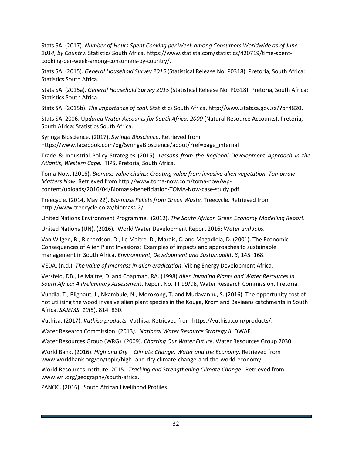Stats SA. (2017). *Number of Hours Spent Cooking per Week among Consumers Worldwide as of June 2014, by Country*. Statistics South Africa. https://www.statista.com/statistics/420719/time-spentcooking-per-week-among-consumers-by-country/.

Stats SA. (2015). *General Household Survey 2015* (Statistical Release No. P0318). Pretoria, South Africa: Statistics South Africa.

Stats SA. (2015a). *General Household Survey 2015* (Statistical Release No. P0318). Pretoria, South Africa: Statistics South Africa.

Stats SA. (2015b). *The importance of coal.* Statistics South Africa. http://www.statssa.gov.za/?p=4820.

Stats SA. 2006. Up*dated Water Accounts for South Africa: 2000* (Natural Resource Accounts). Pretoria, South Africa: Statistics South Africa.

Syringa Bioscience. (2017). *Syringa Bioscience*. Retrieved from https://www.facebook.com/pg/SyringaBioscience/about/?ref=page\_internal

Trade & Industrial Policy Strategies (2015). *Lessons from the Regional Development Approach in the Atlantis, Western Cape.* TIPS. Pretoria, South Africa.

Toma-Now. (2016). *Biomass value chains: Creating value from invasive alien vegetation. Tomorrow Matters Now*. Retrieved from http://www.toma-now.com/toma-now/wpcontent/uploads/2016/04/Biomass-beneficiation-TOMA-Now-case-study.pdf

Treecycle. (2014, May 22). B*io-mass Pellets from Green Waste.* Treecycle. Retrieved from http://www.treecycle.co.za/biomass-2/

United Nations Environment Programme. (2012). *The South African Green Economy Modelling Report.*

United Nations (UN). (2016). World Water Development Report 2016: *Water and Jobs.*

Van Wilgen, B., Richardson, D., Le Maitre, D., Marais, C. and Magadlela, D. (2001). The Economic Consequences of Alien Plant Invasions: Examples of impacts and approaches to sustainable management in South Africa. *Environment, Development and Sustainabilit*, *3*, 145–168.

VEDA. (n.d.). *The value of miomass in alien eradication*. Viking Energy Development Africa.

Versfeld, DB., Le Maitre, D. and Chapman, RA. (1998) *Alien Invading Plants and Water Resources in South Africa: A Preliminary Assessmen*t. Report No. TT 99/98, Water Research Commission, Pretoria.

Vundla, T., Blignaut, J., Nkambule, N., Morokong, T. and Mudavanhu, S. (2016). The opportunity cost of not utilising the wood invasive alien plant species in the Kouga, Krom and Baviaans catchments in South Africa. *SAJEMS*, *19*(5), 814–830.

Vuthisa. (2017). *Vuthisa products.* Vuthisa. Retrieved from https://vuthisa.com/products/.

Water Research Commission. (2013*). National Water Resource Strategy II*. DWAF.

Water Resources Group (WRG). (2009). *Charting Our Water Future*. Water Resources Group 2030.

World Bank. (2016). *High and Dry – Climate Change, Water and the Economy*. Retrieved from www.worldbank.org/en/topic/high -and-dry-climate-change-and-the-world-economy.

World Resources Institute. 2015*. Tracking and Strengthening Climate Change*. Retrieved from [www.wri.org/geography/south-africa.](http://www.wri.org/geography/south-africa)

ZANOC. (2016). South African Livelihood Profiles.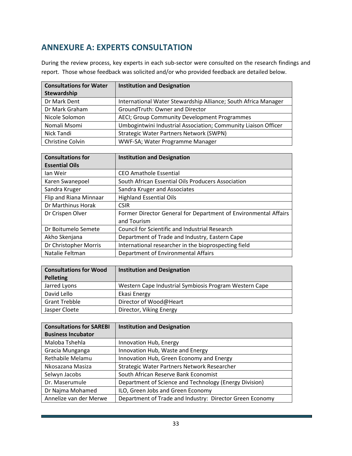# <span id="page-32-0"></span>**ANNEXURE A: EXPERTS CONSULTATION**

During the review process, key experts in each sub-sector were consulted on the research findings and report. Those whose feedback was solicited and/or who provided feedback are detailed below.

| <b>Consultations for Water</b> | <b>Institution and Designation</b>                             |
|--------------------------------|----------------------------------------------------------------|
| Stewardship                    |                                                                |
| Dr Mark Dent                   | International Water Stewardship Alliance; South Africa Manager |
| Dr Mark Graham                 | GroundTruth: Owner and Director                                |
| Nicole Solomon                 | AECI; Group Community Development Programmes                   |
| Nomali Msomi                   | Umbogintwini Industrial Association; Community Liaison Officer |
| Nick Tandi                     | <b>Strategic Water Partners Network (SWPN)</b>                 |
| <b>Christine Colvin</b>        | WWF-SA; Water Programme Manager                                |

| <b>Consultations for</b> | <b>Institution and Designation</b>                              |
|--------------------------|-----------------------------------------------------------------|
| <b>Essential Oils</b>    |                                                                 |
| lan Weir                 | <b>CEO Amathole Essential</b>                                   |
| Karen Swanepoel          | South African Essential Oils Producers Association              |
| Sandra Kruger            | Sandra Kruger and Associates                                    |
| Flip and Riana Minnaar   | <b>Highland Essential Oils</b>                                  |
| Dr Marthinus Horak       | <b>CSIR</b>                                                     |
| Dr Crispen Olver         | Former Director General for Department of Environmental Affairs |
|                          | and Tourism                                                     |
| Dr Boitumelo Semete      | <b>Council for Scientific and Industrial Research</b>           |
| Akho Skenjana            | Department of Trade and Industry, Eastern Cape                  |
| Dr Christopher Morris    | International researcher in the bioprospecting field            |
| Natalie Feltman          | Department of Environmental Affairs                             |

| <b>Consultations for Wood</b> | <b>Institution and Designation</b>                     |  |
|-------------------------------|--------------------------------------------------------|--|
| <b>Pelleting</b>              |                                                        |  |
| Jarred Lyons                  | Western Cape Industrial Symbiosis Program Western Cape |  |
| David Lello                   | Ekasi Energy                                           |  |
| <b>Grant Trebble</b>          | Director of Wood@Heart                                 |  |
| Jasper Cloete                 | Director, Viking Energy                                |  |

| <b>Consultations for SAREBI</b> | <b>Institution and Designation</b>                       |
|---------------------------------|----------------------------------------------------------|
| <b>Business Incubator</b>       |                                                          |
| Maloba Tshehla                  | Innovation Hub, Energy                                   |
| Gracia Munganga                 | Innovation Hub, Waste and Energy                         |
| Rethabile Melamu                | Innovation Hub, Green Economy and Energy                 |
| Nkosazana Masiza                | Strategic Water Partners Network Researcher              |
| Selwyn Jacobs                   | South African Reserve Bank Economist                     |
| Dr. Maserumule                  | Department of Science and Technology (Energy Division)   |
| Dr Najma Mohamed                | ILO, Green Jobs and Green Economy                        |
| Annelize van der Merwe          | Department of Trade and Industry: Director Green Economy |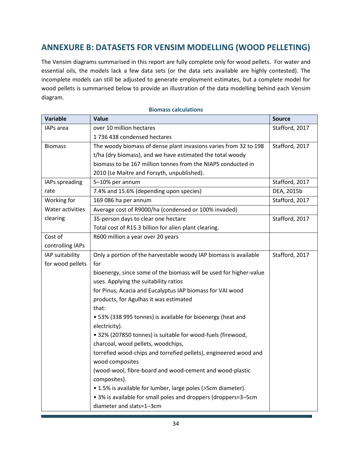# <span id="page-33-0"></span>**ANNEXURE B: DATASETS FOR VENSIM MODELLING (WOOD PELLETING)**

The Vensim diagrams summarised in this report are fully complete only for wood pellets. For water and essential oils, the models lack a few data sets (or the data sets available are highly contested). The incomplete models can still be adjusted to generate employment estimates, but a complete model for wood pellets is summarised below to provide an illustration of the data modelling behind each Vensim diagram.

| <b>Variable</b>  | Value                                                              | <b>Source</b>  |
|------------------|--------------------------------------------------------------------|----------------|
| IAPs area        | over 10 million hectares                                           | Stafford, 2017 |
|                  | 1736 438 condensed hectares                                        |                |
| <b>Biomass</b>   | The woody biomass of dense plant invasions varies from 32 to 198   | Stafford, 2017 |
|                  | t/ha (dry biomass), and we have estimated the total woody          |                |
|                  | biomass to be 167 million tonnes from the NIAPS conducted in       |                |
|                  | 2010 (Le Maitre and Forsyth, unpublished).                         |                |
| IAPs spreading   | 5-10% per annum                                                    | Stafford, 2017 |
| rate             | 7.4% and 15.6% (depending upon species)                            | DEA, 2015b     |
| Working for      | 169 086 ha per annum                                               | Stafford, 2017 |
| Water activities | Average cost of R9000/ha (condensed or 100% invaded)               |                |
| clearing         | 35-person days to clear one hectare                                | Stafford, 2017 |
|                  | Total cost of R15.3 billion for alien plant clearing.              |                |
| Cost of          | R600 million a year over 20 years                                  |                |
| controlling IAPs |                                                                    |                |
| IAP suitability  | Only a portion of the harvestable woody IAP biomass is available   | Stafford, 2017 |
| for wood pellets | for                                                                |                |
|                  | bioenergy, since some of the biomass will be used for higher-value |                |
|                  | uses. Applying the suitability ratios                              |                |
|                  | for Pinus, Acacia and Eucalyptus IAP biomass for VAI wood          |                |
|                  | products, for Agulhas it was estimated                             |                |
|                  | that:                                                              |                |
|                  | • 53% (338 995 tonnes) is available for bioenergy (heat and        |                |
|                  | electricity).                                                      |                |
|                  | • 32% (207850 tonnes) is suitable for wood-fuels (firewood,        |                |
|                  | charcoal, wood pellets, woodchips,                                 |                |
|                  | torrefied wood-chips and torrefied pellets), engineered wood and   |                |
|                  | wood composites                                                    |                |
|                  | (wood-wool, fibre-board and wood-cement and wood-plastic           |                |
|                  | composites).                                                       |                |
|                  | • 1.5% is available for lumber, large poles (>5cm diameter).       |                |
|                  | • 3% is available for small poles and droppers (droppers=3-5cm     |                |
|                  | diameter and slats=1-3cm                                           |                |

#### **Biomass calculations**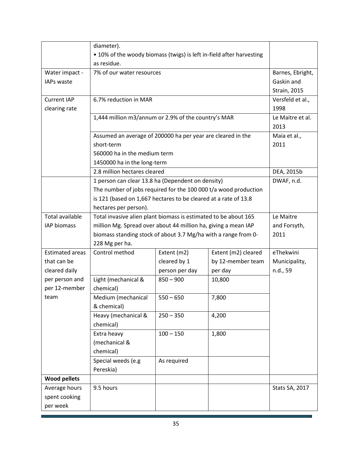|                        | diameter).                                                           |                |                     |                     |
|------------------------|----------------------------------------------------------------------|----------------|---------------------|---------------------|
|                        | • 10% of the woody biomass (twigs) is left in-field after harvesting |                |                     |                     |
|                        | as residue.                                                          |                |                     |                     |
| Water impact -         | 7% of our water resources                                            |                |                     | Barnes, Ebright,    |
| <b>IAPs waste</b>      |                                                                      |                |                     | Gaskin and          |
|                        |                                                                      |                |                     | <b>Strain, 2015</b> |
| <b>Current IAP</b>     | 6.7% reduction in MAR                                                |                |                     | Versfeld et al.,    |
| clearing rate          |                                                                      |                |                     | 1998                |
|                        | 1,444 million m3/annum or 2.9% of the country's MAR                  |                |                     | Le Maitre et al.    |
|                        |                                                                      |                |                     | 2013                |
|                        | Assumed an average of 200000 ha per year are cleared in the          |                |                     | Maia et al.,        |
|                        | short-term                                                           |                |                     | 2011                |
|                        | 560000 ha in the medium term                                         |                |                     |                     |
|                        | 1450000 ha in the long-term                                          |                |                     |                     |
|                        | 2.8 million hectares cleared                                         |                |                     | DEA, 2015b          |
|                        | 1 person can clear 13.8 ha (Dependent on density)                    |                |                     | DWAF, n.d.          |
|                        | The number of jobs required for the 100 000 t/a wood production      |                |                     |                     |
|                        | is 121 (based on 1,667 hectares to be cleared at a rate of 13.8      |                |                     |                     |
|                        | hectares per person).                                                |                |                     |                     |
| <b>Total available</b> | Total invasive alien plant biomass is estimated to be about 165      |                |                     | Le Maitre           |
| <b>IAP</b> biomass     | million Mg. Spread over about 44 million ha, giving a mean IAP       |                |                     | and Forsyth,        |
|                        | biomass standing stock of about 3.7 Mg/ha with a range from 0-       | 2011           |                     |                     |
|                        | 228 Mg per ha.                                                       |                |                     |                     |
| <b>Estimated areas</b> | Control method                                                       | Extent (m2)    | Extent (m2) cleared | eThekwini           |
| that can be            |                                                                      | cleared by 1   | by 12-member team   | Municipality,       |
| cleared daily          |                                                                      | person per day | per day             | n.d., 59            |
| per person and         | Light (mechanical &                                                  | $850 - 900$    | 10,800              |                     |
| per 12-member          | chemical)                                                            |                |                     |                     |
| team                   | Medium (mechanical                                                   | $550 - 650$    | 7,800               |                     |
|                        | & chemical)                                                          |                |                     |                     |
|                        | Heavy (mechanical &                                                  | $250 - 350$    | 4,200               |                     |
|                        | chemical)                                                            |                |                     |                     |
|                        | Extra heavy                                                          | $100 - 150$    | 1,800               |                     |
|                        | (mechanical &                                                        |                |                     |                     |
|                        | chemical)                                                            |                |                     |                     |
|                        | Special weeds (e.g                                                   | As required    |                     |                     |
|                        | Pereskia)                                                            |                |                     |                     |
| <b>Wood pellets</b>    |                                                                      |                |                     |                     |
| Average hours          | 9.5 hours                                                            |                |                     | Stats SA, 2017      |
| spent cooking          |                                                                      |                |                     |                     |
| per week               |                                                                      |                |                     |                     |